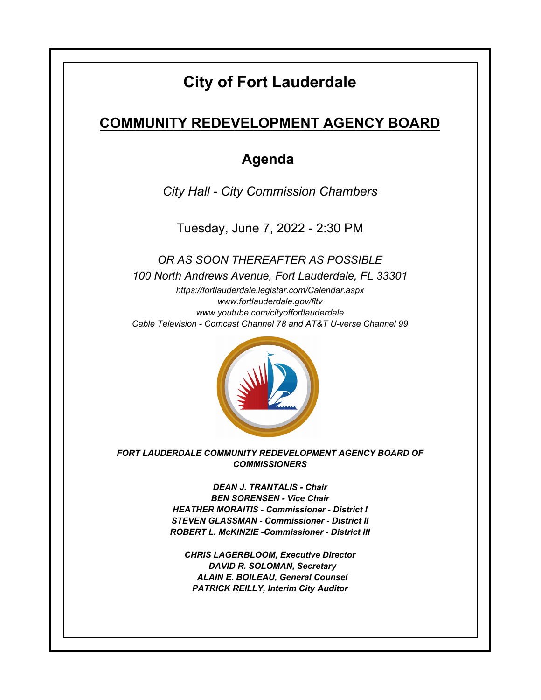# **City of Fort Lauderdale**

## **COMMUNITY REDEVELOPMENT AGENCY BOARD**

### **Agenda**

*City Hall - City Commission Chambers*

Tuesday, June 7, 2022 - 2:30 PM

*https://fortlauderdale.legistar.com/Calendar.aspx www.fortlauderdale.gov/fltv www.youtube.com/cityoffortlauderdale Cable Television - Comcast Channel 78 and AT&T U-verse Channel 99 OR AS SOON THEREAFTER AS POSSIBLE 100 North Andrews Avenue, Fort Lauderdale, FL 33301*



*FORT LAUDERDALE COMMUNITY REDEVELOPMENT AGENCY BOARD OF COMMISSIONERS*

> *DEAN J. TRANTALIS - Chair BEN SORENSEN - Vice Chair HEATHER MORAITIS - Commissioner - District I STEVEN GLASSMAN - Commissioner - District II ROBERT L. McKINZIE -Commissioner - District III*

*CHRIS LAGERBLOOM, Executive Director DAVID R. SOLOMAN, Secretary ALAIN E. BOILEAU, General Counsel PATRICK REILLY, Interim City Auditor*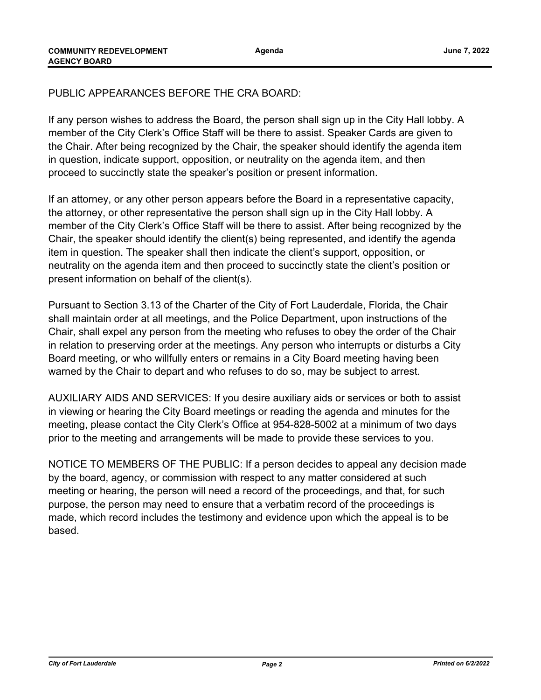### PUBLIC APPEARANCES BEFORE THE CRA BOARD:

If any person wishes to address the Board, the person shall sign up in the City Hall lobby. A member of the City Clerk's Office Staff will be there to assist. Speaker Cards are given to the Chair. After being recognized by the Chair, the speaker should identify the agenda item in question, indicate support, opposition, or neutrality on the agenda item, and then proceed to succinctly state the speaker's position or present information.

If an attorney, or any other person appears before the Board in a representative capacity, the attorney, or other representative the person shall sign up in the City Hall lobby. A member of the City Clerk's Office Staff will be there to assist. After being recognized by the Chair, the speaker should identify the client(s) being represented, and identify the agenda item in question. The speaker shall then indicate the client's support, opposition, or neutrality on the agenda item and then proceed to succinctly state the client's position or present information on behalf of the client(s).

Pursuant to Section 3.13 of the Charter of the City of Fort Lauderdale, Florida, the Chair shall maintain order at all meetings, and the Police Department, upon instructions of the Chair, shall expel any person from the meeting who refuses to obey the order of the Chair in relation to preserving order at the meetings. Any person who interrupts or disturbs a City Board meeting, or who willfully enters or remains in a City Board meeting having been warned by the Chair to depart and who refuses to do so, may be subject to arrest.

AUXILIARY AIDS AND SERVICES: If you desire auxiliary aids or services or both to assist in viewing or hearing the City Board meetings or reading the agenda and minutes for the meeting, please contact the City Clerk's Office at 954-828-5002 at a minimum of two days prior to the meeting and arrangements will be made to provide these services to you.

NOTICE TO MEMBERS OF THE PUBLIC: If a person decides to appeal any decision made by the board, agency, or commission with respect to any matter considered at such meeting or hearing, the person will need a record of the proceedings, and that, for such purpose, the person may need to ensure that a verbatim record of the proceedings is made, which record includes the testimony and evidence upon which the appeal is to be based.